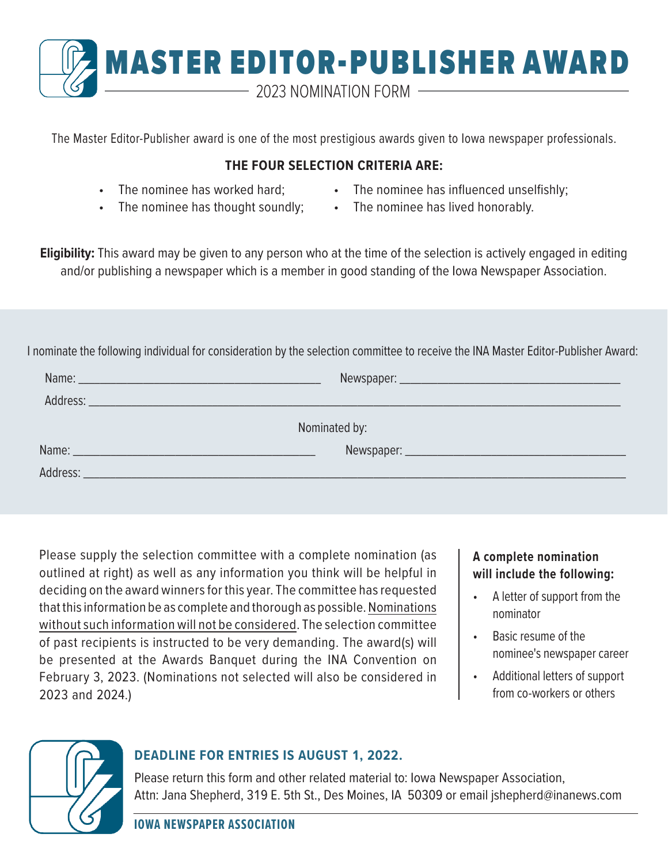

The Master Editor-Publisher award is one of the most prestigious awards given to Iowa newspaper professionals.

## **THE FOUR SELECTION CRITERIA ARE:**

- The nominee has worked hard;
- The nominee has influenced unselfishly;
- The nominee has thought soundly;
- The nominee has lived honorably.

**Eligibility:** This award may be given to any person who at the time of the selection is actively engaged in editing and/or publishing a newspaper which is a member in good standing of the Iowa Newspaper Association.

I nominate the following individual for consideration by the selection committee to receive the INA Master Editor-Publisher Award:

| Nominated by: |  |
|---------------|--|
|               |  |
|               |  |
|               |  |

Please supply the selection committee with a complete nomination (as outlined at right) as well as any information you think will be helpful in deciding on the award winners for this year. The committee has requested that this information be as complete and thorough as possible. Nominations without such information will not be considered. The selection committee of past recipients is instructed to be very demanding. The award(s) will be presented at the Awards Banquet during the INA Convention on February 3, 2023. (Nominations not selected will also be considered in 2023 and 2024.)

## **A complete nomination will include the following:**

- A letter of support from the nominator
- Basic resume of the nominee's newspaper career
- Additional letters of support from co-workers or others



## **DEADLINE FOR ENTRIES IS AUGUST 1, 2022.**

Please return this form and other related material to: Iowa Newspaper Association, Attn: Jana Shepherd, 319 E. 5th St., Des Moines, IA 50309 or email jshepherd@inanews.com